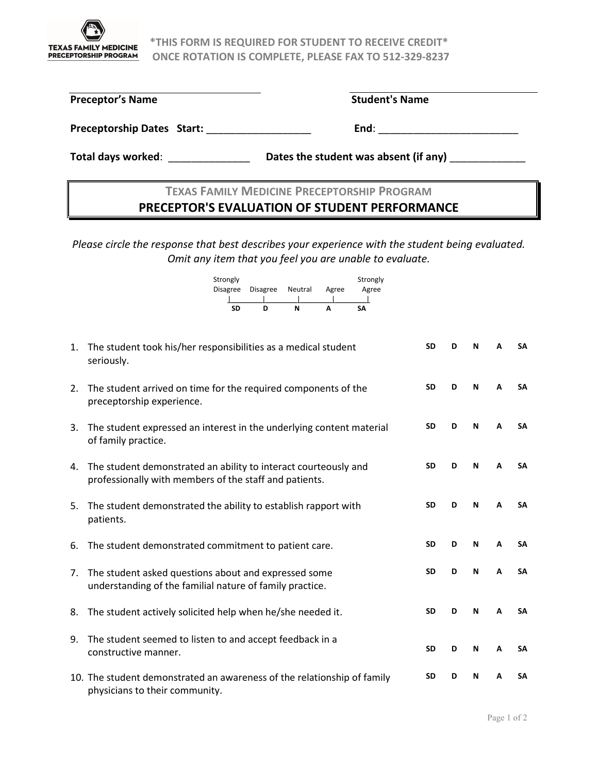

**TEXAS FAMILY MEDICINE** \*THIS FORM IS REQUIRED FOR STUDENT TO RECEIVE CREDIT\* **PRECEPTORSHIP PROGRAM ONCE ROTATION IS COMPLETE, PLEASE FAX TO 512-329-8237** 

| <b>Preceptor's Name</b>           | <b>Student's Name</b> |
|-----------------------------------|-----------------------|
| <b>Preceptorship Dates Start:</b> | End:                  |

**Total days worked**: \_\_\_\_\_\_\_\_\_\_\_\_\_\_ **Dates the student was absent (if any)** \_\_\_\_\_\_\_\_\_\_\_\_\_

## **TEXAS FAMILY MEDICINE PRECEPTORSHIP PROGRAM PRECEPTOR'S EVALUATION OF STUDENT PERFORMANCE**

*Please circle the response that best describes your experience with the student being evaluated. Omit any item that you feel you are unable to evaluate.*

| Strongly<br>Disagree | Disagree Neutral |   | Agree | Strongly<br>Agree |
|----------------------|------------------|---|-------|-------------------|
|                      |                  |   |       |                   |
| SD                   | D                | N | А     | SΑ                |

| 1. | The student took his/her responsibilities as a medical student<br>seriously.                                              | <b>SD</b> | D | N | A | <b>SA</b> |
|----|---------------------------------------------------------------------------------------------------------------------------|-----------|---|---|---|-----------|
| 2. | The student arrived on time for the required components of the<br>preceptorship experience.                               | <b>SD</b> | D | N | A | <b>SA</b> |
| 3. | The student expressed an interest in the underlying content material<br>of family practice.                               | <b>SD</b> | D | N | A | <b>SA</b> |
| 4. | The student demonstrated an ability to interact courteously and<br>professionally with members of the staff and patients. | <b>SD</b> | D | N | A | <b>SA</b> |
| 5. | The student demonstrated the ability to establish rapport with<br>patients.                                               | <b>SD</b> | D | N | A | <b>SA</b> |
| 6. | The student demonstrated commitment to patient care.                                                                      | <b>SD</b> | D | N | A | <b>SA</b> |
| 7. | The student asked questions about and expressed some<br>understanding of the familial nature of family practice.          | <b>SD</b> | D | N | A | <b>SA</b> |
| 8. | The student actively solicited help when he/she needed it.                                                                | <b>SD</b> | D | N | A | <b>SA</b> |
| 9. | The student seemed to listen to and accept feedback in a<br>constructive manner.                                          | <b>SD</b> | D | N | A | <b>SA</b> |
|    | 10. The student demonstrated an awareness of the relationship of family<br>physicians to their community.                 | <b>SD</b> | D | N | A | <b>SA</b> |